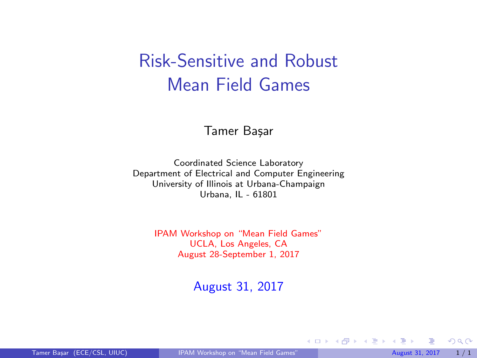# <span id="page-0-0"></span>Risk-Sensitive and Robust Mean Field Games

#### Tamer Başar

Coordinated Science Laboratory Department of Electrical and Computer Engineering University of Illinois at Urbana-Champaign Urbana, IL - 61801

> IPAM Workshop on "Mean Field Games" UCLA, Los Angeles, CA August 28-September 1, 2017

> > August 31, 2017

 $299$ 

メロト メ都 トメ ヨ トメ ヨト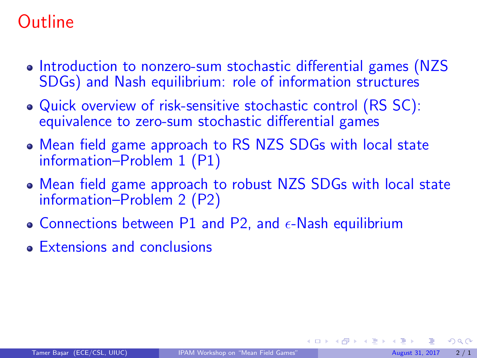# Outline

- Introduction to nonzero-sum stochastic differential games (NZS) SDGs) and Nash equilibrium: role of information structures
- Quick overview of risk-sensitive stochastic control (RS SC): equivalence to zero-sum stochastic differential games
- Mean field game approach to RS NZS SDGs with local state information–Problem 1 (P1)
- Mean field game approach to robust NZS SDGs with local state information–Problem 2 (P2)
- Connections between P1 and P2, and  $\epsilon$ -Nash equilibrium
- Extensions and conclusions

 $\Omega$ 

メロメ メ都 メメ ミメ メヨメ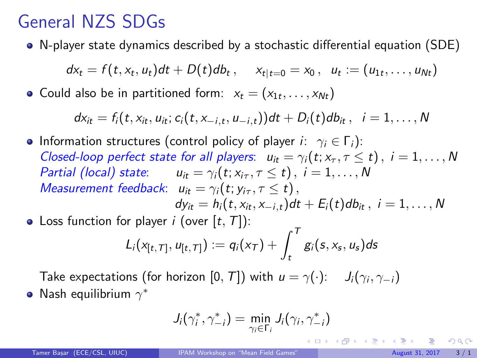# General NZS SDGs

N-player state dynamics described by a stochastic differential equation (SDE)

$$
dx_t = f(t, x_t, u_t)dt + D(t)db_t, \quad x_{t|t=0} = x_0, \quad u_t := (u_{1t}, \ldots, u_{Nt})
$$

Could also be in partitioned form:  $x_t = (x_{1t}, \ldots, x_{Nt})$ 

$$
dx_{it} = f_i(t, x_{it}, u_{it}; c_i(t, x_{-i,t}, u_{-i,t}))dt + D_i(t)db_{it}, i = 1, ..., N
$$

**•** Information structures (control policy of player  $i: \gamma_i \in \Gamma_i$ ): Closed-loop perfect state for all players:  $u_{it} = \gamma_i(t; x_{\tau}, \tau \leq t)$ ,  $i = 1, ..., N$ Partial (local) state:  $u_{it} = \gamma_i(t; x_{i\tau}, \tau \leq t)$ ,  $i = 1, ..., N$ Measurement feedback:  $u_{it} = \gamma_i(t; y_{i\tau}, \tau \leq t)$ ,  $dy_{it} = h_i(t, x_{it}, x_{-i,t})dt + E_i(t)db_{it}, i = 1, ..., N$ 

• Loss function for player *i* (over  $[t, T]$ ):

$$
L_i(x_{[t, T]}, u_{[t, T]}) := q_i(x_T) + \int_t^T g_i(s, x_s, u_s) ds
$$

Take expectations (for horizon  $[0,\,T]$ ) with  $u=\gamma(\cdot)$ :  $\;\;$  J $_i(\gamma_i,\gamma_{-i})$ Nash equilibrium  $\gamma^*$ 

$$
J_i(\gamma_i^*, \gamma_{-i}^*) = \min_{\gamma_i \in \Gamma_i} J_i(\gamma_i, \gamma_{-i}^*)
$$

イロト イ押 トイヨ トイヨト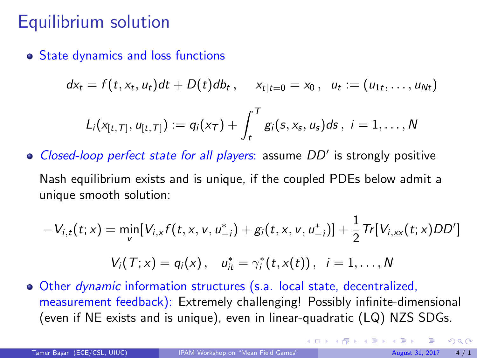### <span id="page-3-0"></span>Equilibrium solution

**• State dynamics and loss functions** 

$$
dx_t = f(t, x_t, u_t)dt + D(t)db_t, \quad x_{t|t=0} = x_0, \quad u_t := (u_{1t}, \ldots, u_{Nt})
$$

$$
L_i(x_{[t,T]}, u_{[t,T]}):= q_i(x_T) + \int_t^T g_i(s, x_s, u_s) ds, \ i=1,\ldots,N
$$

Closed-loop perfect state for all players: assume  $DD'$  is strongly positive

Nash equilibrium exists and is unique, if the coupled PDEs below admit a unique smooth solution:

$$
-V_{i,t}(t;x) = \min_{v}[V_{i,x}f(t,x,v,u_{-i}^{*})+g_i(t,x,v,u_{-i}^{*})]+\frac{1}{2}Tr[V_{i,xx}(t;x)DD']
$$

$$
V_i(T; x) = q_i(x), \quad u_{it}^* = \gamma_i^*(t, x(t)), \quad i = 1, ..., N
$$

Other dynamic information structures (s.a. local state, decentralized, measurement feedback): Extremely challenging! Possibly infinite-dimensional (even if NE exists and is unique), even in linear-quadratic (LQ) NZS SDGs.

 $QQ$ 

**K ロ ト K 倒 ト K 差 ト K**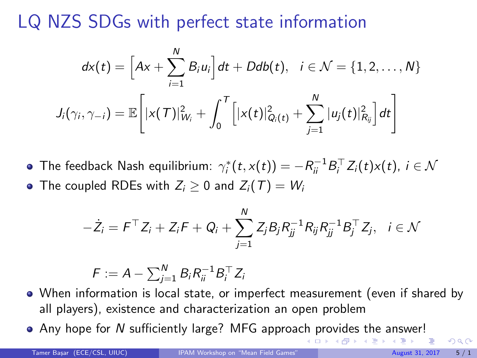# LQ NZS SDGs with perfect state information

$$
dx(t) = \left[Ax + \sum_{i=1}^N B_i u_i\right] dt + Ddb(t), \quad i \in \mathcal{N} = \{1, 2, \dots, N\}
$$

$$
J_i(\gamma_i, \gamma_{-i}) = \mathbb{E}\left[|x(T)|_{W_i}^2 + \int_0^T \left[|x(t)|_{Q_i(t)}^2 + \sum_{j=1}^N |u_j(t)|_{R_{ij}}^2\right] dt\right]
$$

The feedback Nash equilibrium:  $\gamma^*_i(t,x(t)) = -R^{-1}_{ii}B_i^\top Z_i(t)x(t)$ ,  $i \in \mathcal{N}$ • The coupled RDEs with  $Z_i > 0$  and  $Z_i(T) = W_i$ 

$$
-\dot{Z}_i = F^{\top} Z_i + Z_i F + Q_i + \sum_{j=1}^{N} Z_j B_j R_{jj}^{-1} R_{ij} R_{jj}^{-1} B_j^{\top} Z_j, \quad i \in \mathcal{N}
$$

$$
F := A - \sum_{j=1}^N B_i R_{ii}^{-1} B_i^\top Z_i
$$

- When information is local state, or imperfect measurement (even if shared by all players), existence and characterization an open problem
- Any hope for N sufficiently large? MFG approa[ch](#page-3-0) p[rovides the answer!](#page-0-0)

(□ ) ( n ) ( 三 )

 $QQ$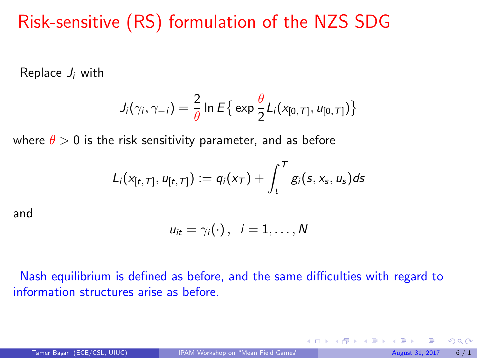# <span id="page-5-0"></span>Risk-sensitive (RS) formulation of the NZS SDG

Replace  $J_i$  with

$$
J_i(\gamma_i, \gamma_{-i}) = \frac{2}{\theta} \ln E\big\{\exp \frac{\theta}{2} L_i(x_{[0, T]}, u_{[0, T]})\big\}
$$

where  $\theta > 0$  is the risk sensitivity parameter, and as before

$$
L_i(x_{[t,T]}, u_{[t,T]}):=q_i(x_T)+\int_t^T g_i(s, x_s, u_s)ds
$$

and

$$
u_{it}=\gamma_i(\cdot),\ \ i=1,\ldots,N
$$

Nash equilibrium is defined as before, and the same difficulties with regard to information structures arise as before.

 $\Omega$ 

 $\left\{ \begin{array}{ccc} 1 & 0 & 0 \\ 0 & 1 & 0 \end{array} \right.$   $\left\{ \begin{array}{ccc} 0 & 0 & 0 \\ 0 & 0 & 0 \end{array} \right.$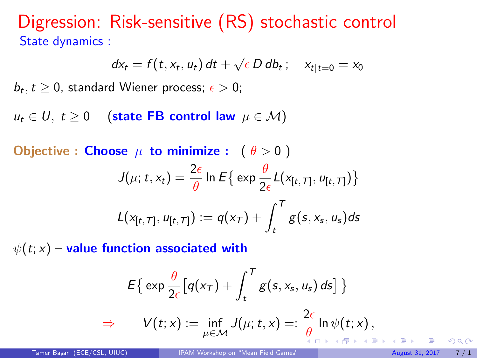Digression: Risk-sensitive (RS) stochastic control State dynamics :

$$
dx_t = f(t, x_t, u_t) dt + \sqrt{\epsilon} D db_t; \quad x_{t|t=0} = x_0
$$

 $b_t, t \geq 0$ , standard Wiener process;  $\epsilon > 0$ ;

 $u_t$  ∈ U, t ≥ 0 (state FB control law  $\mu$  ∈ M)

Objective : Choose  $\mu$  to minimize :  $(\theta > 0)$ 

$$
J(\mu; t, x_t) = \frac{2\epsilon}{\theta} \ln E\left\{ \exp \frac{\theta}{2\epsilon} L(x_{[t, T]}, u_{[t, T]}) \right\}
$$

$$
L(x_{[t, T]}, u_{[t, T]}) := q(x_T) + \int_t^T g(s, x_s, u_s) ds
$$

 $\psi(t; x)$  – value function associated with

$$
E\{\exp \frac{\theta}{2\epsilon} \big[ q(x_T) + \int_t^T g(s, x_s, u_s) \, ds \big] \}
$$
  
\n
$$
\Rightarrow \qquad V(t; x) := \inf_{\mu \in \mathcal{M}} J(\mu; t, x) =: \frac{2\epsilon}{\theta} \ln \psi(t; x),
$$

 $\Omega$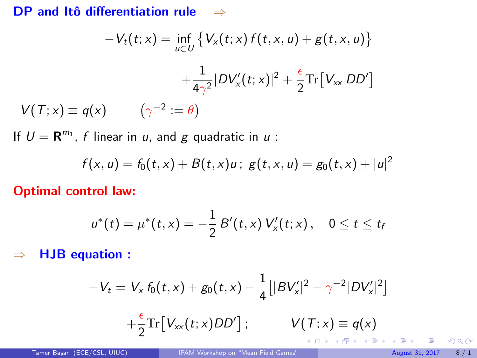#### DP and Itô differentiation rule  $\Rightarrow$

$$
-V_t(t; x) = \inf_{u \in U} \left\{ V_x(t; x) f(t, x, u) + g(t, x, u) \right\}
$$

$$
+ \frac{1}{4\gamma^2} |DV'_x(t; x)|^2 + \frac{\epsilon}{2} \text{Tr} [V_{xx} DD']
$$

$$
V(T; x) \equiv q(x) \qquad (\gamma^{-2} := \theta)
$$

If  $U = \mathbf{R}^{m_1}$ , f linear in u, and g quadratic in u:

$$
f(x, u) = f_0(t, x) + B(t, x)u; g(t, x, u) = g_0(t, x) + |u|^2
$$

Optimal control law:

$$
u^*(t) = \mu^*(t, x) = -\frac{1}{2} B'(t, x) V'_x(t; x), \quad 0 \leq t \leq t_f
$$

⇒ HJB equation :

$$
-V_t = V_x f_0(t, x) + g_0(t, x) - \frac{1}{4} [ |BV'_x|^2 - \gamma^{-2} |DV'_x|^2 ]
$$
  
+  $\frac{\epsilon}{2} \text{Tr} [V_{xx}(t; x) D D'] ; \qquad V(T; x) \equiv q(x)$ 

 $299$ 

メロト メ都 トメ ミト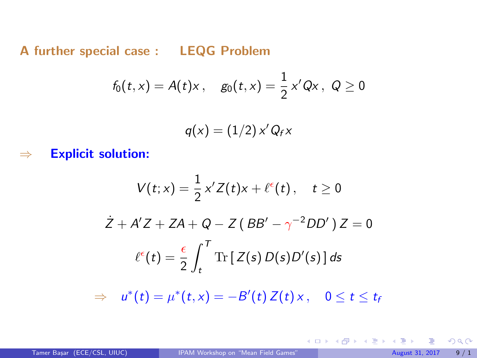A further special case : LEQG Problem

$$
f_0(t,x) = A(t)x
$$
,  $g_0(t,x) = \frac{1}{2}x'Qx$ ,  $Q \ge 0$ 

$$
q(x) = (1/2) x' Q_f x
$$

 $\Rightarrow$  Explicit solution:

$$
V(t; x) = \frac{1}{2} x' Z(t) x + \ell^{\epsilon}(t), \quad t \ge 0
$$
  

$$
\dot{Z} + A' Z + ZA + Q - Z (BB' - \gamma^{-2} DD') Z = 0
$$
  

$$
\ell^{\epsilon}(t) = \frac{\epsilon}{2} \int_{t}^{T} \text{Tr} [Z(s) D(s) D'(s)] ds
$$

 $\Rightarrow u^*(t) = \mu^*(t, x) = -B'(t) Z(t) x, 0 \le t \le t$ 

 $299$ 

メロメ メ御き メミメ メミメ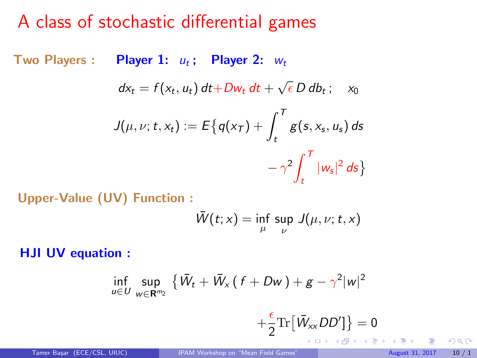### A class of stochastic differential games

Two Players : Player 1:  $u_t$ ; Player 2:  $w_t$ 

$$
dx_t = f(x_t, u_t) dt + Dw_t dt + \sqrt{\epsilon} D db_t; \quad x_0
$$

$$
J(\mu, \nu; t, x_t) := E\big\{q(x_T) + \int_t^T g(s, x_s, u_s) ds
$$

$$
-\gamma^2 \int_t^T |w_s|^2 ds\big\}
$$

Upper-Value (UV) Function :

$$
\bar{W}(t;x) = \inf_{\mu} \sup_{\nu} J(\mu, \nu; t, x)
$$

HJI UV equation :

$$
\inf_{u\in U}\sup_{w\in\mathbf{R}^{m_2}}\left\{\bar{W}_t+\bar{W}_x\left(\,f+Dw\,\right)+g-\gamma^2|w|^2\right\}
$$

$$
+\frac{\varepsilon}{2}\mathrm{Tr}\bigl[\bar{W}_{xx}DD'\bigr]\bigr\}=0
$$

 $299$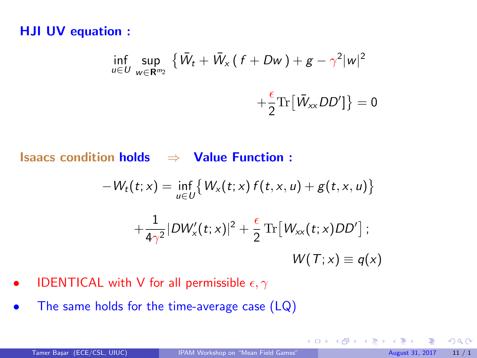#### <span id="page-10-0"></span>HJI UV equation :

$$
\inf_{u \in U} \sup_{w \in \mathbf{R}^{m_2}} \left\{ \bar{W}_t + \bar{W}_x \left( f + Dw \right) + g - \gamma^2 |w|^2 + \frac{\epsilon}{2} \text{Tr} \left[ \bar{W}_{xx} DD' \right] \right\} = 0
$$

Isaacs condition holds  $\Rightarrow$  Value Function :

$$
-W_t(t;x) = \inf_{u \in U} \{W_x(t;x) f(t,x,u) + g(t,x,u)\}
$$

$$
+ \frac{1}{4\gamma^2} |DW'_x(t;x)|^2 + \frac{\epsilon}{2} \operatorname{Tr}[W_{xx}(t;x)DD'] ;
$$

$$
W(T;x) \equiv q(x)
$$

- IDENTICAL with V for all permissible  $\epsilon, \gamma$
- The same holds for the time-average case (LQ)

 $299$ 

メロトメ 御下 メミトメ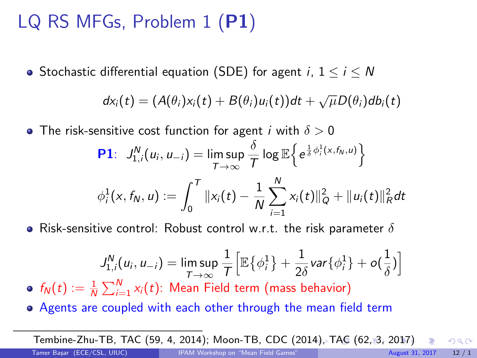# LQ RS MFGs, Problem 1 (P1)

• Stochastic differential equation (SDE) for agent  $i, 1 \le i \le N$ 

$$
dx_i(t) = (A(\theta_i)x_i(t) + B(\theta_i)u_i(t))dt + \sqrt{\mu}D(\theta_i)db_i(t)
$$

 $\bullet$  The risk-sensitive cost function for agent i with  $\delta > 0$ 

**P1**: 
$$
J_{1,i}^N(u_i, u_{-i}) = \limsup_{T \to \infty} \frac{\delta}{T} \log \mathbb{E} \left\{ e^{\frac{1}{\delta} \phi_i^1(x, f_N, u)} \right\}
$$
  
 $\phi_i^1(x, f_N, u) := \int_0^T ||x_i(t) - \frac{1}{N} \sum_{i=1}^N x_i(t) ||_Q^2 + ||u_i(t)||_R^2 dt$ 

• Risk-sensitive control: Robust control w.r.t. the risk parameter  $\delta$ 

$$
J_{1,i}^N(u_i, u_{-i}) = \limsup_{T \to \infty} \frac{1}{T} \Big[ \mathbb{E} \big\{ \phi_i^1 \big\} + \frac{1}{2\delta} \text{var} \{ \phi_i^1 \} + o(\frac{1}{\delta}) \Big]
$$

 $f_N(t) := \frac{1}{N} \sum_{i=1}^N x_i(t)$ : Mean Field term (mass behavior)

Agents are coupled with each other through the mean field term

Tembine-Zhu-TB, TAC (59, 4, 2[014](#page-10-0)); Moon-TB, CDC (2014)[, TAC \(62, 3, 2017\)](#page-0-0)  $\Omega$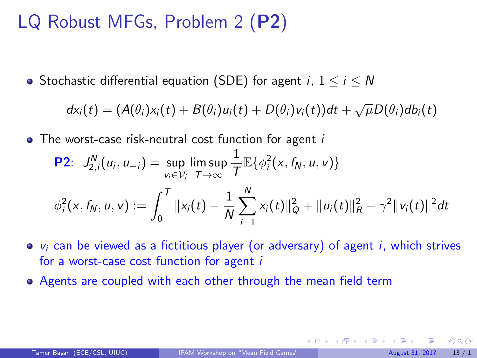# LQ Robust MFGs, Problem 2 (P2)

• Stochastic differential equation (SDE) for agent i,  $1 \le i \le N$ 

 $dx_i(t) = (A(\theta_i)x_i(t) + B(\theta_i)u_i(t) + D(\theta_i)v_i(t))dt + \sqrt{\mu}D(\theta_i)db_i(t)$ 

• The worst-case risk-neutral cost function for agent *i* 

**P2**: 
$$
J_{2,i}^N(u_i, u_{-i}) = \sup_{v_i \in V_i} \limsup_{T \to \infty} \frac{1}{T} \mathbb{E} \{ \phi_i^2(x, f_N, u, v) \}
$$
  

$$
\phi_i^2(x, f_N, u, v) := \int_0^T ||x_i(t) - \frac{1}{N} \sum_{i=1}^N x_i(t) ||_Q^2 + ||u_i(t)||_R^2 - \gamma^2 ||v_i(t)||^2 dt
$$

- $\bullet$   $v_i$  can be viewed as a fictitious player (or adversary) of agent i, which strives for a worst-case cost function for agent i
- Agents are coupled with each other through the mean field term

 $\Omega$ 

 $\left\{ \begin{array}{ccc} 1 & 0 & 0 \\ 0 & 1 & 0 \end{array} \right.$   $\left\{ \begin{array}{ccc} 0 & 0 & 0 \\ 0 & 0 & 0 \end{array} \right.$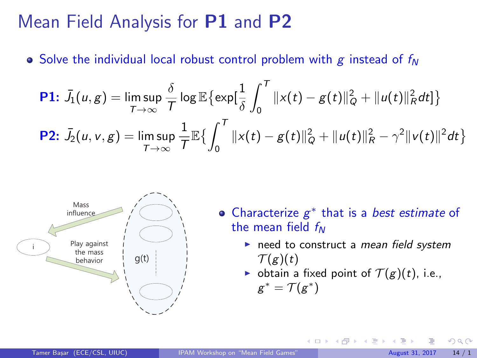### Mean Field Analysis for P1 and P2

• Solve the individual local robust control problem with g instead of  $f_N$ 

**P1:** 
$$
\bar{J}_1(u, g) = \limsup_{T \to \infty} \frac{\delta}{T} \log \mathbb{E} \{ \exp[\frac{1}{\delta} \int_0^T ||x(t) - g(t)||_Q^2 + ||u(t)||_R^2 dt] \}
$$
  
\n**P2:**  $\bar{J}_2(u, v, g) = \limsup_{T \to \infty} \frac{1}{T} \mathbb{E} \{ \int_0^T ||x(t) - g(t)||_Q^2 + ||u(t)||_R^2 - \gamma^2 ||v(t)||^2 dt \}$ 



- ∗ that is a best estimate of the mean field  $f_N$ 
	- $\blacktriangleright$  need to construct a mean field system  $\mathcal{T}(g)(t)$
	- botain a fixed point of  $T(g)(t)$ , i.e.,

**K ロ ト K 何 ト K ヨ ト** 

$$
g^* = \mathcal{T}(g^*)
$$

 $\cap$   $\cap$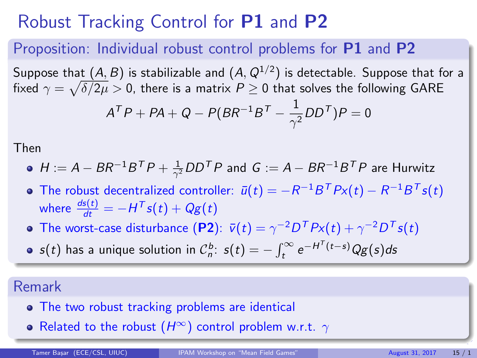# Robust Tracking Control for P1 and P2

#### Proposition: Individual robust control problems for **P1** and **P2**

Suppose that  $(A,B)$  is stabilizable and  $(A,Q^{1/2})$  is detectable. Suppose that for a fixed  $\gamma=\sqrt{\delta/2\mu}>0$ , there is a matrix  $P\geq 0$  that solves the following <code>GARE</code>

$$
A^{\mathcal T}P+PA+Q-P(BR^{-1}B^{\mathcal T}-\frac{1}{\gamma^2}DD^{\mathcal T})P=0
$$

Then

- $H:=A-BR^{-1}B^{\sf T}P+\frac{1}{\gamma^2}DD^{\sf T}P$  and  $G:=A-BR^{-1}B^{\sf T}P$  are Hurwitz
- The robust decentralized controller:  $\bar{u}(t) = -R^{-1}B^{T}Px(t) R^{-1}B^{T}s(t)$ where  $\frac{ds(t)}{dt} = -H^T s(t) + Qg(t)$
- The worst-case disturbance (P2):  $\bar{v}(t) = \gamma^{-2}D^T P x(t) + \gamma^{-2} D^T s(t)$
- $s(t)$  has a unique solution in  $\mathcal{C}_n^b$ :  $s(t) = -\int_t^\infty e^{-H^T(t-s)}Qg(s)ds$

#### Remark

- The two robust tracking problems are identical
- Related to the robust  $(H^{\infty})$  control problem w.r.t.  $\gamma$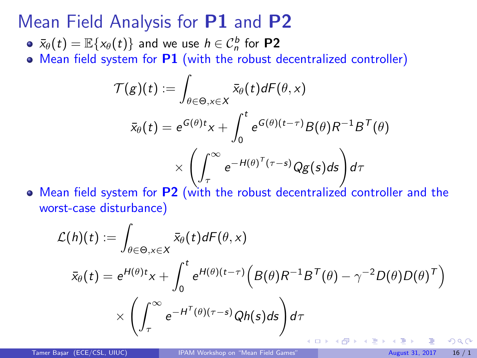### Mean Field Analysis for P1 and P2

- $\bar{x}_{\theta}(t) = \mathbb{E}\{x_{\theta}(t)\}$  and we use  $h \in \mathcal{C}^b_n$  for  $\textsf{P2}$
- Mean field system for P1 (with the robust decentralized controller)

$$
\mathcal{T}(g)(t) := \int_{\theta \in \Theta, x \in X} \bar{x}_{\theta}(t) dF(\theta, x)
$$

$$
\bar{x}_{\theta}(t) = e^{G(\theta)t}x + \int_{0}^{t} e^{G(\theta)(t-\tau)}B(\theta)R^{-1}B^{T}(\theta)
$$

$$
\times \left(\int_{\tau}^{\infty} e^{-H(\theta)^{T}(\tau-s)}Qg(s)ds\right)d\tau
$$

Mean field system for **P2** (with the robust decentralized controller and the worst-case disturbance)

$$
\mathcal{L}(h)(t) := \int_{\theta \in \Theta, x \in X} \bar{x}_{\theta}(t) dF(\theta, x)
$$

$$
\bar{x}_{\theta}(t) = e^{H(\theta)t}x + \int_{0}^{t} e^{H(\theta)(t-\tau)} \Big(B(\theta)R^{-1}B^{T}(\theta) - \gamma^{-2}D(\theta)D(\theta)^{T}\Big)
$$

$$
\times \left(\int_{\tau}^{\infty} e^{-H^{T}(\theta)(\tau-s)}Qh(s)ds\right)d\tau
$$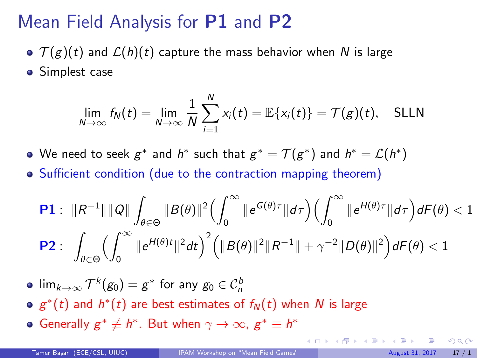# <span id="page-16-0"></span>Mean Field Analysis for P1 and P2

- $\sigma$   $\mathcal{T}(g)(t)$  and  $\mathcal{L}(h)(t)$  capture the mass behavior when N is large
- Simplest case

$$
\lim_{N\to\infty} f_N(t) = \lim_{N\to\infty} \frac{1}{N} \sum_{i=1}^N x_i(t) = \mathbb{E}\{x_i(t)\} = \mathcal{T}(g)(t), \quad \text{SLLN}
$$

We need to seek  $g^*$  and  $h^*$  such that  $g^* = \mathcal{T}(g^*)$  and  $h^* = \mathcal{L}(h^*)$ 

Sufficient condition (due to the contraction mapping theorem)

$$
\begin{aligned}\n\mathbf{P1}: \quad & \|R^{-1}\| \|\mathcal{Q}\| \int_{\theta \in \Theta} \|B(\theta)\|^2 \Big(\int_0^\infty \|e^{G(\theta)\tau}\| d\tau\Big) \Big(\int_0^\infty \|e^{H(\theta)\tau}\| d\tau\Big) dF(\theta) < 1 \\
\mathbf{P2}: \quad & \int_{\theta \in \Theta} \Big(\int_0^\infty \|e^{H(\theta)t}\|^2 dt\Big)^2 \Big(\|B(\theta)\|^2 \|R^{-1}\| + \gamma^{-2} \|D(\theta)\|^2\Big) dF(\theta) < 1\n\end{aligned}
$$

 $\lim_{k\to\infty} \mathcal T^k(g_0) = g^*$  for any  $g_0\in \mathcal C_n^b$ 

- $g^*(t)$  and  $h^*(t)$  are best estimates of  $f_N(t)$  when  $N$  is large
- Generally  $g^* \not\equiv h^*$ . But when  $\gamma \rightarrow \infty$ ,  $g^* \equiv h^*$

 $\Omega$ 

 $\left\{ \begin{array}{ccc} 1 & 0 & 0 \\ 0 & 1 & 0 \end{array} \right\}$  ,  $\left\{ \begin{array}{ccc} 0 & 0 & 0 \\ 0 & 0 & 0 \end{array} \right\}$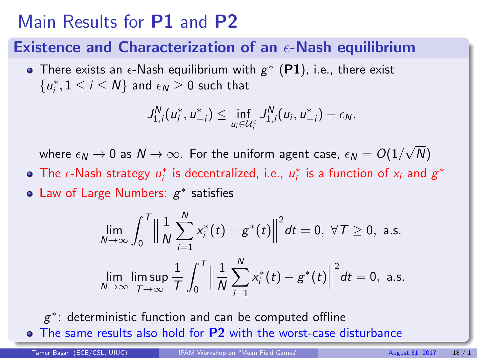### Main Results for P1 and P2

#### Existence and Characterization of an  $\epsilon$ -Nash equilibrium

There exists an  $\epsilon$ -Nash equilibrium with  $g^*$  (P1), i.e., there exist  ${u_i^*, 1 \le i \le N}$  and  $\epsilon_N \ge 0$  such that

$$
J_{1,i}^N(u_i^*, u_{-i}^*) \leq \inf_{u_i \in \mathcal{U}_i^c} J_{1,i}^N(u_i, u_{-i}^*) + \epsilon_N,
$$

where  $\epsilon_N \rightarrow 0$  as  $N \rightarrow \infty.$  For the uniform agent case,  $\epsilon_N = O(1/$ √ N)

- The  $\epsilon$ -Nash strategy  $u_i^*$  is decentralized, i.e.,  $u_i^*$  is a function of  $x_i$  and  $g^*$
- Law of Large Numbers:  $g^*$  satisfies

$$
\lim_{N \to \infty} \int_0^T \left\| \frac{1}{N} \sum_{i=1}^N x_i^*(t) - g^*(t) \right\|^2 dt = 0, \ \forall T \ge 0, \ \text{a.s.}
$$
\n
$$
\lim_{N \to \infty} \lim_{T \to \infty} \frac{1}{T} \int_0^T \left\| \frac{1}{N} \sum_{i=1}^N x_i^*(t) - g^*(t) \right\|^2 dt = 0, \ \text{a.s.}
$$

 $g^*$ : deterministic function and can be computed offline • The same results also hold for P2 with the wors[t-c](#page-16-0)[ase disturbance](#page-0-0)

Tamer Basar (ECE/CSL, UIUC) [IPAM Workshop on "Mean Field Games"](#page-0-0) August 31, 2017 18 / 1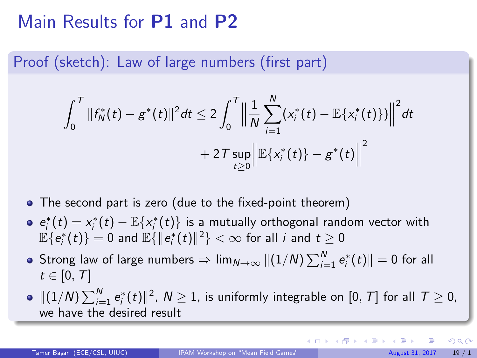### Main Results for P1 and P2

Proof (sketch): Law of large numbers (first part)

$$
\int_0^T \|f_N^*(t)-g^*(t)\|^2 dt \leq 2 \int_0^T \Big\|\frac{1}{N}\sum_{i=1}^N(x_i^*(t)-\mathbb{E}\{x_i^*(t)\})\Big\|^2 dt +2\mathcal{T}\sup_{t\geq 0}\Big\|\mathbb{E}\{x_i^*(t)\}-g^*(t)\Big\|^2
$$

- The second part is zero (due to the fixed-point theorem)
- $e_i^*(t) = x_i^*(t) \mathbb{E}\{x_i^*(t)\}\$ is a mutually orthogonal random vector with  $\mathbb{E}\{\overline{e}_i^*(t)\}=0$  and  $\mathbb{E}\{\|\overline{e}_i^*(t)\|^2\}<\infty$  for all  $i$  and  $t\geq 0$
- Strong law of large numbers  $\Rightarrow\lim_{N\to\infty}\|(1/N)\sum_{i=1}^N e_i^*(t)\|=0$  for all  $t \in [0, T]$
- $\|(1/N)\sum_{i=1}^N \mathsf{e}_i^*(t)\|^2, \ N\ge 1,$  is uniformly integrable on  $[0,\,T]$  for all  $\,\mathcal{T}\ge 0,$ we have the desired result

 $\Omega$ 

メロト メ都 トメ ヨ トメ ヨト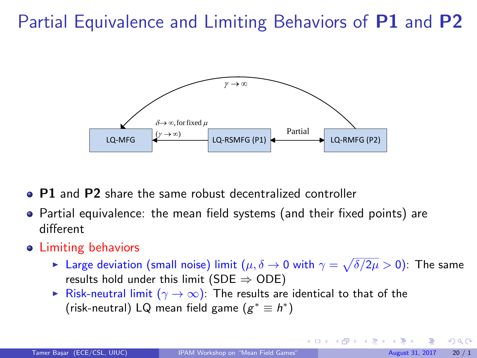# Partial Equivalence and Limiting Behaviors of P1 and P2



- P1 and P2 share the same robust decentralized controller
- Partial equivalence: the mean field systems (and their fixed points) are different
- Limiting behaviors
	- ► Large deviation (small noise) limit  $(\mu,\delta \to 0$  with  $\gamma=\sqrt{\delta/2\mu}>0)$ : The same results hold under this limit ( $SDE \Rightarrow ODE$ )
	- ► Risk-neutral limit  $(\gamma \to \infty)$ : The results are identical to that of the (risk-neutral) LQ mean field game  $(g^* \equiv h^*)$

 $\Omega$ 

イロト イ部ト イ君ト イ君)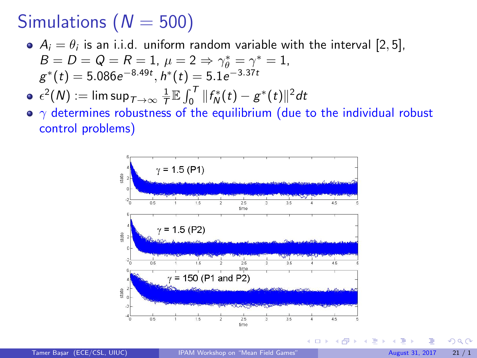# Simulations ( $N = 500$ )

- $A_i = \theta_i$  is an i.i.d. uniform random variable with the interval  $[2,5]$ ,  $B = D = Q = R = 1, \mu = 2 \Rightarrow \gamma_{\theta}^{*} = \gamma^{*} = 1,$  $g^*(t) = 5.086e^{-8.49t}, h^*(t) = 5.1e^{-3.37t}$
- $\epsilon^2(N):=\limsup_{T\to\infty}\frac{1}{T}\mathbb{E}\int_0^T\|f^*_N(t)-g^*(t)\|^2dt$
- $\gamma$  determines robustness of the equilibrium (due to the individual robust control problems)



4 D F

 $\Omega$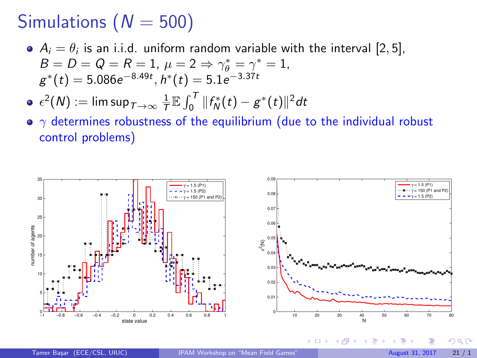# Simulations ( $N = 500$ )

 $A_i = \theta_i$  is an i.i.d. uniform random variable with the interval [2,5],  $B = D = Q = R = 1, \mu = 2 \Rightarrow \gamma_{\theta}^{*} = \gamma^{*} = 1,$  $g^*(t) = 5.086e^{-8.49t}, h^*(t) = 5.1e^{-3.37t}$ 

$$
\bullet \ \epsilon^2(N) := \limsup_{T \to \infty} \frac{1}{T} \mathbb{E} \int_0^T \|f_N^*(t) - g^*(t)\|^2 dt
$$

•  $\gamma$  determines robustness of the equilibrium (due to the individual robust control problems)



 $\Omega$ 

メロメ メタメ メミメス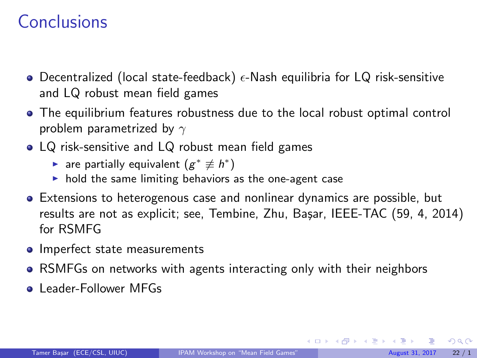### Conclusions

- Decentralized (local state-feedback)  $\epsilon$ -Nash equilibria for LQ risk-sensitive and LQ robust mean field games
- The equilibrium features robustness due to the local robust optimal control problem parametrized by  $\gamma$
- LQ risk-sensitive and LQ robust mean field games
	- ► are partially equivalent  $(g^* \not\equiv h^*)$
	- $\blacktriangleright$  hold the same limiting behaviors as the one-agent case
- Extensions to heterogenous case and nonlinear dynamics are possible, but results are not as explicit; see, Tembine, Zhu, Bașar, IEEE-TAC (59, 4, 2014) for RSMFG
- Imperfect state measurements
- RSMFGs on networks with agents interacting only with their neighbors
- **Leader-Follower MFGs**

 $\Omega$ 

メロメ メ御き メミメ メミメ